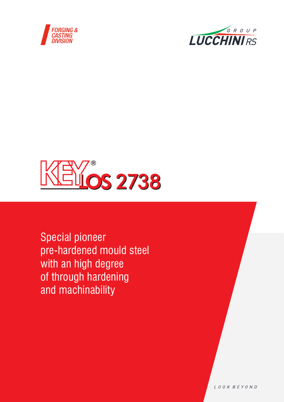





Special pioneer pre-hardened mould steel with an high degree of through hardening and machinability

LOOK BEYOND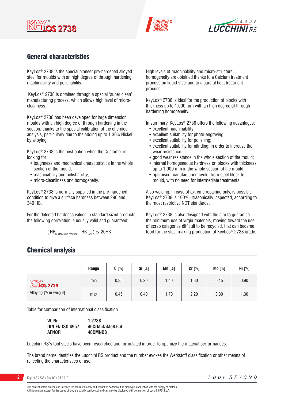





# General characteristics

KeyLos® 2738 is the special pioneer pre-hardened alloyed steel for moulds with an high degree of through hardening, machinability and polishability.

 KeyLos® 2738 is obtained through a special 'super clean' manufacturing process, which allows high level of microcleanness.

KeyLos® 2738 has been developed for large dimension moulds with an high degree of through hardening in the section, thanks to the special calibration of the chemical analysis, particularly due to the adding up to 1.30% Nickel by alloying.

KeyLos® 2738 is the best option when the Customer is looking for:

- toughness and mechanical characteristics in the whole section of the mould;
- machinability and polishability;

Chemical analysis

• micro-cleanliness and homogeneity.

KeyLos® 2738 is normally supplied in the pre-hardened condition to give a surface hardness between 290 and 340 HB.

For the detected hardness values in standard sized products, the following correlation is usually valid and guaranteed:

$$
(\text{HB}_{\text{Surface,min required}} - \text{HB}_{\text{Core}})
$$
  $\leq$  20HB

High levels of machinability and micro-structural homogeneity are obtained thanks to a Calcium treatment process on liquid steel and to a careful heat treatment process.

KeyLos® 2738 is ideal for the production of blocks with thickness up to 1.000 mm with an high degree of through hardening homogeneity.

In summary, KeyLos<sup>®</sup> 2738 offers the following advantages:

- excellent machinability;
- excellent suitability for photo-engraving;
- excellent suitability for polishing;
- excellent suitability for nitriding, in order to increase the wear resistance;
- good wear resistance in the whole section of the mould;
- internal homogeneous hardness on blocks with thickness up to 1.000 mm in the whole section of the mould;
- optimised manufacturing cycle: from steel block to mould, with no need for intermediate treatments.

Also welding, in case of extreme repairing only, is possible. KeyLos® 2738 is 100% ultrasonically inspected, according to the most restrictive NDT standards.

KeyLos® 2738 is also designed with the aim to guarantee the minimum use of virgin materials, moving toward the use of scrap categories difficult to be recycled, that can became food for the steel making production of KeyLos® 2738 grade.

|                                | Range | $C[\%]$ | Si [%] | $Mn [\%]$ | Cr [%] | Mo [%] | Ni [%] |
|--------------------------------|-------|---------|--------|-----------|--------|--------|--------|
| $M$ $\mathbb{N}$ $\infty$ 2738 | min   | 0,35    | 0,20   | 1,40      | 1,80   | 0,15   | 0,90   |
| Alloying [% in weight]         | max   | 0,45    | 0,40   | 1,70      | 2,20   | 0,30   | 1,30   |

Table for comparison of international classification

| W.Nr.                  | 1.2738          |
|------------------------|-----------------|
| <b>DIN EN ISO 4957</b> | 40CrMnNiMo8.6.4 |
| <b>AFNOR</b>           | 40CMND8         |

Lucchini RS's tool steels have been researched and formulated in order to optimize the material performances.

The brand name identifies the Lucchini RS product and the number evokes the Werkstoff classification or other means of reflecting the characteristics of use.

**2** KeyLos® 2738 / Rev.00 / 05.2019

The content of this brochure is intended for information only and cannot be considered as binding in connection with the supply of material. All information, except for the cases of law, are strictly confidential and can only be disclosed with permission of Lucchini RS S.p.A.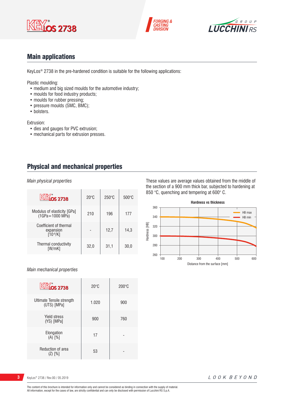





## Main applications

KeyLos® 2738 in the pre-hardened condition is suitable for the following applications:

Plastic moulding:

- medium and big sized moulds for the automotive industry;
- moulds for food industry products;
- moulds for rubber pressing;
- pressure moulds (SMC, BMC);
- bolsters.

Extrusion:

- dies and gauges for PVC extrusion;
- mechanical parts for extrusion presses.

## Physical and mechanical properties

*Main physical properties*

| <b>KEYOS 2738</b>                                    | $20^{\circ}$ C | $250^{\circ}$ C | $500^{\circ}$ C |
|------------------------------------------------------|----------------|-----------------|-----------------|
| Modulus of elasticity [GPa]<br>$(1GPa = 1000 MPa)$   | 210            | 196             | 177             |
| Coefficient of thermal<br>expansion<br>$[10^{-6}/K]$ |                | 12,7            | 14,3            |
| Thermal conductivity<br>[W/mK]                       | 32.0           | 31,1            | 30.0            |

#### *Main mechanical properties*

| <b>KEYOS 2738</b>                        | $20^{\circ}$ C | $200\degree C$ |
|------------------------------------------|----------------|----------------|
| Ultimate Tensile strength<br>(UTS) [MPa] | 1.020          | 900            |
| <b>Yield stress</b><br>(YS) [MPa]        | 900            | 760            |
| Elongation<br>$(A)$ $[%]$                | 17             |                |
| Reduction of area<br>$(Z)$ $[%]$         | 53             |                |

These values are average values obtained from the middle of the section of a 900 mm thick bar, subjected to hardening at 850 °C, quenching and tempering at 600° C.



**3** KeyLos® 2738 / Rev.00 / 05.2019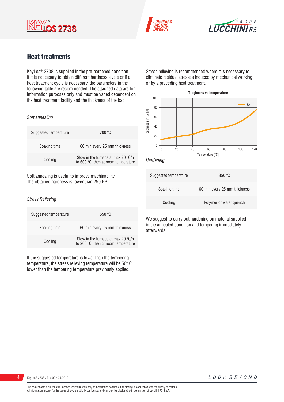





# Heat treatments

KeyLos® 2738 is supplied in the pre-hardened condition. If it is necessary to obtain different hardness levels or if a heat treatment cycle is necessary, the parameters in the following table are recommended. The attached data are for information purposes only and must be varied dependent on the heat treatment facility and the thickness of the bar.

#### *Soft annealing*

| Suggested temperature | 700 °C                                                                             |
|-----------------------|------------------------------------------------------------------------------------|
| Soaking time          | 60 min every 25 mm thickness                                                       |
| Cooling               | Slow in the furnace at max 20 $\degree$ C/h<br>to 600 °C, then at room temperature |

Soft annealing is useful to improve machinability. The obtained hardness is lower than 250 HB.

#### *Stress Relieving*

| Suggested temperature | 550 °C                                                                    |
|-----------------------|---------------------------------------------------------------------------|
| Soaking time          | 60 min every 25 mm thickness                                              |
| Cooling               | Slow in the furnace at max 20 °C/h<br>to 200 °C, then at room temperature |

If the suggested temperature is lower than the tempering temperature, the stress relieving temperature will be 50° C lower than the tempering temperature previously applied.

Stress relieving is recommended where it is necessary to eliminate residual stresses induced by mechanical working or by a preceding heat treatment.





| Suggested temperature | 850 °C                       |
|-----------------------|------------------------------|
| Soaking time          | 60 min every 25 mm thickness |
| Cooling               | Polymer or water quench      |

We suggest to carry out hardening on material supplied in the annealed condition and tempering immediately afterwards.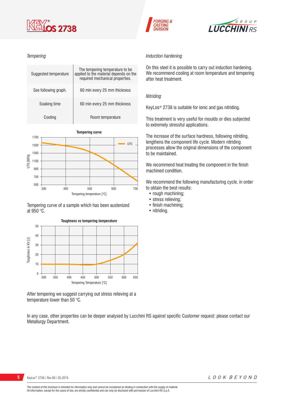

#### *Tempering*

| Suggested temperature | The tempering temperature to be.<br>applied to the material depends on the<br>required mechanical properties. |
|-----------------------|---------------------------------------------------------------------------------------------------------------|
| See following graph.  | 60 min every 25 mm thickness                                                                                  |
| Soaking time          | 60 min every 25 mm thickness                                                                                  |
| Cooling               | Room temperature                                                                                              |
|                       |                                                                                                               |



Tempering curve of a sample which has been austenized at 950 °C.



After tempering we suggest carrying out stress relieving at a temperature lower than 50 °C.

In any case, other properties can be deeper analysed by Lucchini RS against specific Customer request: please contact our Metallurgy Department.

# *Induction hardening*

**FORGING &** 

**ASTING** 

On this steel it is possible to carry out induction hardening. We recommend cooling at room temperature and tempering after heat treatment.

**LUCCHINIRS** 

#### *Nitriding*

KeyLos® 2738 is suitable for ionic and gas nitriding.

This treatment is very useful for moulds or dies subjected to extremely stressful applications.

The increase of the surface hardness, following nitriding, lengthens the component life cycle. Modern nitriding processes allow the original dimensions of the component to be maintained.

We recommend heat treating the component in the finish machined condition.

We recommend the following manufacturing cycle, in order to obtain the best results:

- rough machining;
- stress relieving;
- finish machining;
- nitriding.

**5** KeyLos® 2738 / Rev.00 / 05.2019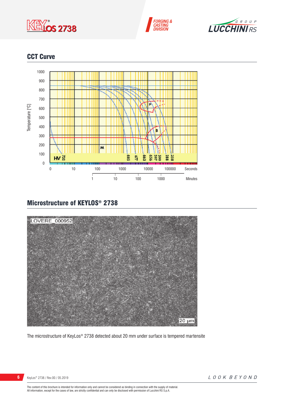





# CCT Curve



# Microstructure of KEYLOS® 2738



The microstructure of KeyLos® 2738 detected about 20 mm under surface is tempered martensite

KeyLos® 2738 / Rev.00 / 05.2019

The content of this brochure is intended for information only and cannot be considered as binding in connection with the supply of material.<br>All information, except for the cases of law, are strictly confidential and can o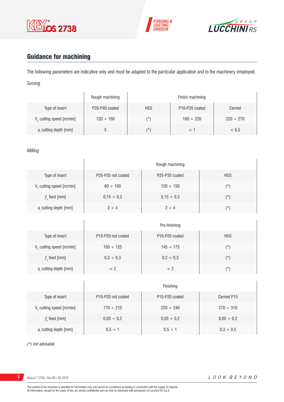





# Guidance for machining

The following parameters are indicative only and must be adapted to the particular application and to the machinery employed. *Turning*

|                                      | Rough machining |            | Finish machining                        |                |
|--------------------------------------|-----------------|------------|-----------------------------------------|----------------|
| Type of insert                       | P20-P40 coated  | <b>HSS</b> | P <sub>10</sub> -P <sub>20</sub> coated | Cermet         |
| V <sub>c</sub> cutting speed [m/min] | $120 \div 160$  | (*`        | $160 \div 220$                          | $220 \div 270$ |
| a, cutting depth [mm]                |                 | (*`        |                                         | < 0.5          |

#### *Milling*

|                             | Rough machining    |                                         |            |
|-----------------------------|--------------------|-----------------------------------------|------------|
| Type of insert              | P25-P35 not coated | P <sub>25</sub> -P <sub>35</sub> coated | <b>HSS</b> |
| $V_c$ cutting speed [m/min] | $80 \div 100$      | $120 \div 150$                          | $(\star)$  |
| $fz$ feed [mm]              | $0,15 \div 0,3$    | $0,15 \div 0,3$                         | $(\star)$  |
| $ar$ cutting depth [mm]     | $2 \div 4$         | $2 \div 4$                              | $(\star)$  |

|                         | Pre-finishing                               |                                         |            |
|-------------------------|---------------------------------------------|-----------------------------------------|------------|
| Type of insert          | P <sub>10</sub> -P <sub>20</sub> not coated | P <sub>10</sub> -P <sub>20</sub> coated | <b>HSS</b> |
| V cutting speed [m/min] | $100 \div 125$                              | $145 \div 175$                          | (*)        |
| $f$ , feed [mm]         | $0,2 \div 0,3$                              | $0,2 \div 0,3$                          | $(\star)$  |
| a, cutting depth [mm]   | < ?                                         | < 2                                     | $(\star)$  |

|                                      | Finishing                                   |                                         |                 |
|--------------------------------------|---------------------------------------------|-----------------------------------------|-----------------|
| Type of insert                       | P <sub>10</sub> -P <sub>20</sub> not coated | P <sub>10</sub> -P <sub>20</sub> coated | Cermet P15      |
| V <sub>c</sub> cutting speed [m/min] | $170 \div 210$                              | $220 \div 240$                          | $270 \div 310$  |
| $f$ , feed [mm]                      | $0,05 \div 0,2$                             | $0,05 \div 0,2$                         | $0,05 \div 0,2$ |
| a, cutting depth [mm]                | $0.5 \div 1$                                | $0.5 \div 1$                            | $0,3 \div 0,5$  |

*(\*) not advisable*

**7** KeyLos® 2738 / Rev.00 / 05.2019

 $\overline{1}$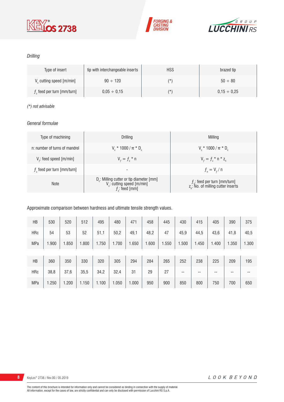





### *Drilling*

| Type of insert                       | tip with interchangeable inserts | <b>HSS</b> | brazed tip       |
|--------------------------------------|----------------------------------|------------|------------------|
| V <sub>c</sub> cutting speed [m/min] | $90 \div 120$                    | $(\star)$  | $50 \div 80$     |
| $fz$ feed per turn [mm/turn]         | $0.05 \div 0.15$                 | $(\star)$  | $0.15 \div 0.25$ |

#### *(\*) not advisable*

#### *General formulae*

| Type of machining             | Drilling                                                                                                          | Milling                                                                             |
|-------------------------------|-------------------------------------------------------------------------------------------------------------------|-------------------------------------------------------------------------------------|
| n: number of turns of mandrel | $V_r * 1000 / \pi * D_r$                                                                                          | $V_r * 1000 / \pi * D_r$                                                            |
| $Vf$ : feed speed [m/min]     | $V_{f} = f_{7}$ * n                                                                                               | $V_{f} = f_{z}$ * n * z <sub>n</sub>                                                |
| $fz$ feed per turn [mm/turn]  | $\overline{\phantom{a}}$                                                                                          | $f_{n} = V_{f} / n$                                                                 |
| <b>Note</b>                   | D <sub>r</sub> : Milling cutter or tip diameter [mm]<br>V <sub>c</sub> : cutting speed [m/min]<br>$f$ ; feed [mm] | $f_{n}$ : feed per turn [mm/turn]<br>z <sub>n</sub> : No. of milling cutter inserts |

#### Approximate comparison between hardness and ultimate tensile strength values.

| HB         | 530   | 520   | 512   | 495   | 480   | 471   | 458   | 445   | 430   | 415   | 405   | 390   | 375   |
|------------|-------|-------|-------|-------|-------|-------|-------|-------|-------|-------|-------|-------|-------|
| <b>HRc</b> | 54    | 53    | 52    | 51,1  | 50,2  | 49,1  | 48,2  | 47    | 45,9  | 44,5  | 43,6  | 41,8  | 40,5  |
| <b>MPa</b> | 1.900 | 1.850 | 1.800 | 1.750 | 1.700 | 1.650 | 1.600 | 1.550 | 1.500 | 1.450 | 1.400 | 1.350 | 1.300 |
|            |       |       |       |       |       |       |       |       |       |       |       |       |       |
| HB         | 360   | 350   | 330   | 320   | 305   | 294   | 284   | 265   | 252   | 238   | 225   | 209   | 195   |
| <b>HRc</b> | 38,8  | 37,6  | 35,5  | 34,2  | 32,4  | 31    | 29    | 27    | --    | --    | --    | --    | --    |
| <b>MPa</b> | 1.250 | 1.200 | 1.150 | 1.100 | 1.050 | 1.000 | 950   | 900   | 850   | 800   | 750   | 700   | 650   |